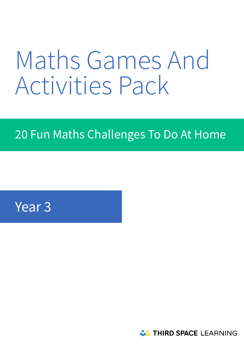# Maths Games And Activities Pack

# 20 Fun Maths Challenges To Do At Home

# Year 3

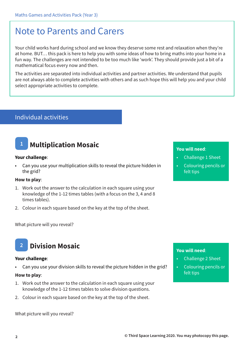# Note to Parents and Carers

Your child works hard during school and we know they deserve some rest and relaxation when they're at home. BUT… this pack is here to help you with some ideas of how to bring maths into your home in a fun way. The challenges are not intended to be too much like 'work'. They should provide just a bit of a mathematical focus every now and then.

The activities are separated into individual activities and partner activities. We understand that pupils are not always able to complete activities with others and as such hope this will help you and your child select appropriate activities to complete.

# Individual activities

# **1 Multiplication Mosaic**

### **Your challenge**:

• Can you use your multiplication skills to reveal the picture hidden in the grid?

# **How to play**:

- 1. Work out the answer to the calculation in each square using your knowledge of the 1-12 times tables (with a focus on the 3, 4 and 8 times tables).
- 2. Colour in each square based on the key at the top of the sheet.

### What picture will you reveal?

# **2 Division Mosaic**

### **Your challenge**:

Can you use your division skills to reveal the picture hidden in the grid?

#### **How to play**:

- 1. Work out the answer to the calculation in each square using your knowledge of the 1-12 times tables to solve division questions.
- 2. Colour in each square based on the key at the top of the sheet.

What picture will you reveal?

# **You will need**:

- Challenge 1 Sheet
- Colouring pencils or felt tips

- Challenge 2 Sheet
- Colouring pencils or felt tips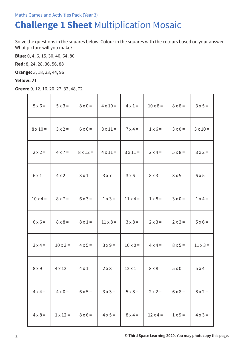# **Challenge 1 Sheet** Multiplication Mosaic

Solve the questions in the squares below. Colour in the squares with the colours based on your answer. What picture will you make?

**Blue:** 0, 4, 6, 15, 30, 40, 64, 80

**Red:** 8, 24, 28, 36, 56, 88

**Orange:** 3, 18, 33, 44, 96

# **Yellow:** 21

**Green:** 9, 12, 16, 20, 27, 32, 48, 72

| $5 \times 6 =$  | $5 \times 3 =$  | $8 \times 0 =$  | $4 \times 10 =$ | $4 \times 1 =$  | $10 \times 8 =$ | $8 \times 8 =$ | $3x5=$          |
|-----------------|-----------------|-----------------|-----------------|-----------------|-----------------|----------------|-----------------|
| $8 \times 10 =$ | $3x2=$          | $6 \times 6 =$  | $8 \times 11 =$ | $7 \times 4 =$  | $1 \times 6 =$  | $3 \times 0 =$ | $3 \times 10 =$ |
| $2 \times 2 =$  | $4 \times 7 =$  | $8 \times 12 =$ | $4 \times 11 =$ | $3 \times 11 =$ | $2 \times 4 =$  | $5 \times 8 =$ | $3x2=$          |
| $6 \times 1 =$  | $4 \times 2 =$  | $3 \times 1 =$  | $3x7=$          | $3 \times 6 =$  | $8x3 =$         | $3 \times 5 =$ | $6x5=$          |
| $10 \times 4 =$ | $8 \times 7 =$  | $6x3=$          | $1 \times 3 =$  | $11 \times 4 =$ | $1 \times 8 =$  | $3 \times 0 =$ | $1 \times 4 =$  |
| $6 \times 6 =$  | $8 \times 8 =$  | $8 \times 1 =$  | $11 \times 8 =$ | $3 \times 8 =$  | $2 \times 3 =$  | $2 \times 2 =$ | $5 \times 6 =$  |
| $3x4=$          | $10 \times 3 =$ | $4 \times 5 =$  | $3x9=$          | $10 \times 0 =$ | $4 \times 4 =$  | $8 \times 5 =$ | $11 \times 3 =$ |
| $8 \times 9 =$  | $4 \times 12 =$ | $4 \times 1 =$  | $2 \times 8 =$  | $12 \times 1 =$ | $8 \times 8 =$  | $5 \times 0 =$ | $5x4=$          |
| $4 \times 4 =$  | $4 \times 0 =$  | $6 \times 5 =$  | $3 \times 3 =$  | $5 \times 8 =$  | $2 \times 2 =$  | $6 \times 8 =$ | $8 \times 2 =$  |
| $4 \times 8 =$  | $1 \times 12 =$ | $8 \times 6 =$  | $4 \times 5 =$  | $8 \times 4 =$  | $12 \times 4 =$ | $1 \times 9 =$ | $4 \times 3 =$  |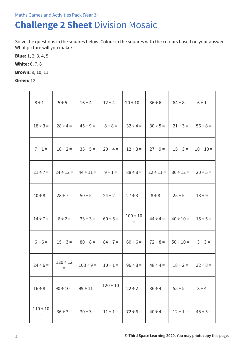# Maths Games and Activities Pack (Year 3)

# **Challenge 2 Sheet** Division Mosaic

Solve the questions in the squares below. Colour in the squares with the colours based on your answer. What picture will you make?

**Blue:** 1, 2, 3, 4, 5

**White:** 6, 7, 8

**Brown:** 9, 10, 11

**Green:** 12

| $8 \div 1 =$              | $5 \div 5 =$              | $16 \div 4 =$  | $12 \div 4 =$        | $20 \div 10 =$            | $36 \div 6 =$  | $64 \div 8 =$  | $6 \div 1 =$   |
|---------------------------|---------------------------|----------------|----------------------|---------------------------|----------------|----------------|----------------|
| $18 \div 3 =$             | $28 \div 4 =$             | $45 \div 9 =$  | $8 \div 8 =$         | $32 \div 4 =$             | $30 \div 5 =$  | $21 \div 3 =$  | $56 \div 8 =$  |
| $7 \div 1 =$              | $16 \div 2 =$             | $35 \div 5 =$  | $20 \div 4 =$        | $12 \div 3 =$             | $27 \div 9 =$  | $15 \div 3 =$  | $10 \div 10 =$ |
| $21 \div 7 =$             | $24 \div 12 =$            | $44 \div 11 =$ | $9 \div 1 =$         | $88 \div 8 =$             | $22 \div 11 =$ | $36 \div 12 =$ | $20 \div 5 =$  |
| $40 \div 8 =$             | $28 \div 7 =$             | $50 \div 5 =$  | $24 \div 2 =$        | $27 \div 3 =$             | $8 \div 8 =$   | $25 \div 5 =$  | $18 \div 9 =$  |
| $14 \div 7 =$             | $6 \div 2 =$              | $33 \div 3 =$  | $60 \div 5 =$        | $100 \div 10$<br>$\equiv$ | $44 \div 4 =$  | $40 \div 10 =$ | $15 \div 5 =$  |
| $6 \div 6 =$              | $15 \div 3 =$             | $80 \div 8 =$  | $84 \div 7 =$        | $60 \div 6 =$             | $72 \div 8 =$  | $50 \div 10 =$ | $3 ÷ 3 =$      |
| $24 \div 6 =$             | $120 \div 12$<br>$\equiv$ | $108 \div 9 =$ | $10 \div 1 =$        | $96 \div 8 =$             | $48 \div 4 =$  | $18 \div 2 =$  | $32 \div 8 =$  |
| $16 \div 8 =$             | $90 \div 10 =$            | $99 \div 11 =$ | $120 \div 10$<br>$=$ | $22 \div 2 =$             | $36 \div 4 =$  | $55 \div 5 =$  | $8 \div 4 =$   |
| $110 \div 10$<br>$\equiv$ | $36 \div 3 =$             | $30 \div 3 =$  | $11 \div 1 =$        | $72 \div 6 =$             | $40 \div 4 =$  | $12 \div 1 =$  | $45 \div 5 =$  |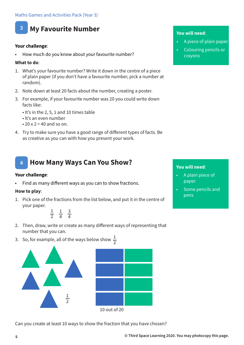

# **3 My Favourite Number**

# **Your challenge**:

How much do you know about your favourite number?

#### **What to do**:

- 1. What's your favourite number? Write it down in the centre of a piece of plain paper (if you don't have a favourite number, pick a number at random).
- 2. Note down at least 20 facts about the number, creating a poster.
- 3. For example, if your favourite number was 20 you could write down facts like:
	- It's in the 2, 5, 1 and 10 times table
	- It's an even number
	- 20 x 2 = 40 and so on.
- 4. Try to make sure you have a good range of different types of facts. Be as creative as you can with how you present your work.

# **4 How Many Ways Can You Show?**

#### **Your challenge**:

• Find as many different ways as you can to show fractions.

#### **How to play**:

1. Pick one of the fractions from the list below, and put it in the centre of your paper.

> 1 2 1 4 3 4

- 2. Then, draw, write or create as many different ways of representing that number that you can.
- 3. So, for example, all of the ways below show  $\frac{1}{2}$



Can you create at least 10 ways to show the fraction that you have chosen?

#### **You will need**:

- A piece of plain paper
- Colouring pencils or crayons

- A plain piece of paper
- Some pencils and pens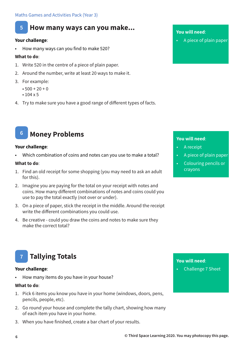# **5 How many ways can you make...**

# **Your challenge**:

• How many ways can you find to make 520?

# **What to do**:

- 1. Write 520 in the centre of a piece of plain paper.
- 2. Around the number, write at least 20 ways to make it.
- 3. For example:
	- $500 + 20 + 0$
	- 104 x 5
- 4. Try to make sure you have a good range of different types of facts.

# **6 Money Problems**

### **Your challenge**:

• Which combination of coins and notes can you use to make a total?

#### **What to do**:

- 1. Find an old receipt for some shopping (you may need to ask an adult for this).
- 2. Imagine you are paying for the total on your receipt with notes and coins. How many different combinations of notes and coins could you use to pay the total exactly (not over or under).
- 3. On a piece of paper, stick the receipt in the middle. Around the receipt write the different combinations you could use.
- 4. Be creative could you draw the coins and notes to make sure they make the correct total?

# **You will need**:

• A piece of plain paper

# **You will need**:

- A receipt
- A piece of plain paper
- Colouring pencils or crayons

### **Tallying Totals 7**

### **Your challenge**:

• How many items do you have in your house?

### **What to do**:

- 1. Pick 6 items you know you have in your home (windows, doors, pens, pencils, people, etc).
- 2. Go round your house and complete the tally chart, showing how many of each item you have in your home.
- 3. When you have finished, create a bar chart of your results.

# **You will need**:

• Challenge 7 Sheet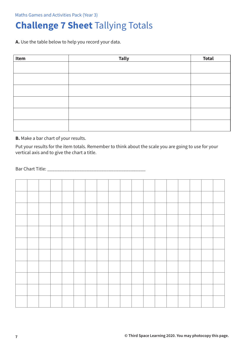Maths Games and Activities Pack (Year 3)

# **Challenge 7 Sheet** Tallying Totals

**A.** Use the table below to help you record your data.

| Item | <b>Tally</b> | <b>Total</b> |
|------|--------------|--------------|
|      |              |              |
|      |              |              |
|      |              |              |
|      |              |              |
|      |              |              |
|      |              |              |
|      |              |              |
|      |              |              |
|      |              |              |
|      |              |              |
|      |              |              |
|      |              |              |

**B.** Make a bar chart of your results.

Put your results for the item totals. Remember to think about the scale you are going to use for your vertical axis and to give the chart a title.

Bar Chart Title: \_\_\_\_\_\_\_\_\_\_\_\_\_\_\_\_\_\_\_\_\_\_\_\_\_\_\_\_\_\_\_\_\_\_\_\_\_\_\_\_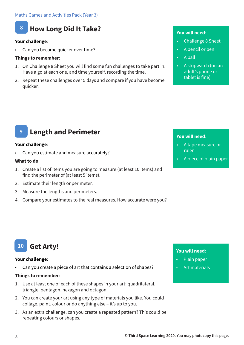

# **8 How Long Did It Take?**

# **Your challenge**:

Can you become quicker over time?

# **Things to remember**:

- 1. On Challenge 8 Sheet you will find some fun challenges to take part in. Have a go at each one, and time yourself, recording the time.
- 2. Repeat these challenges over 5 days and compare if you have become quicker.

# **You will need**:

- Challenge 8 Sheet
- A pencil or pen
- A ball
- A stopwatch (on an adult's phone or tablet is fine)

# **You will need**:

- A tape measure or ruler
- A piece of plain paper

#### **9 Length and Perimeter**

### **Your challenge**:

• Can you estimate and measure accurately?

### **What to do**:

- 1. Create a list of items you are going to measure (at least 10 items) and find the perimeter of (at least 5 items).
- 2. Estimate their length or perimeter.
- 3. Measure the lengths and perimeters.
- 4. Compare your estimates to the real measures. How accurate were you?

### **Get Arty! 10**

### **Your challenge**:

Can you create a piece of art that contains a selection of shapes?

### **Things to remember**:

- 1. Use at least one of each of these shapes in your art: quadrilateral, triangle, pentagon, hexagon and octagon.
- 2. You can create your art using any type of materials you like. You could collage, paint, colour or do anything else – it's up to you.
- 3. As an extra challenge, can you create a repeated pattern? This could be repeating colours or shapes.

- Plain paper
- Art materials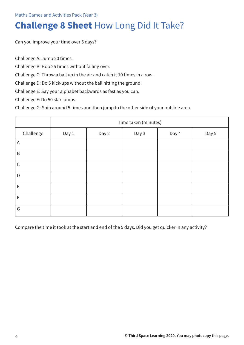# **Challenge 8 Sheet** How Long Did It Take?

Can you improve your time over 5 days?

Challenge A: Jump 20 times.

Challenge B: Hop 25 times without falling over.

Challenge C: Throw a ball up in the air and catch it 10 times in a row.

Challenge D: Do 5 kick-ups without the ball hitting the ground.

Challenge E: Say your alphabet backwards as fast as you can.

Challenge F: Do 50 star jumps.

Challenge G: Spin around 5 times and then jump to the other side of your outside area.

|             | Time taken (minutes) |       |       |       |       |  |  |  |
|-------------|----------------------|-------|-------|-------|-------|--|--|--|
| Challenge   | Day 1                | Day 2 | Day 3 | Day 4 | Day 5 |  |  |  |
| A           |                      |       |       |       |       |  |  |  |
| $\sf B$     |                      |       |       |       |       |  |  |  |
| $\mathsf C$ |                      |       |       |       |       |  |  |  |
| D           |                      |       |       |       |       |  |  |  |
| $\mathsf E$ |                      |       |       |       |       |  |  |  |
| $\mathsf F$ |                      |       |       |       |       |  |  |  |
| G           |                      |       |       |       |       |  |  |  |

Compare the time it took at the start and end of the 5 days. Did you get quicker in any activity?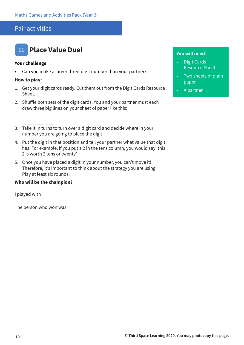# Pair activities



#### **Your challenge**:

• Can you make a larger three-digit number than your partner?

#### **How to play:**

- 1. Get your digit cards ready. Cut them out from the Digit Cards Resource Sheet.
- 2. Shuffle both sets of the digit cards. You and your partner must each draw three big lines on your sheet of paper like this:
- \_\_\_\_ \_\_\_\_ \_\_\_\_ 3. Take it in turns to turn over a digit card and decide where in your number you are going to place the digit.
- 4. Put the digit in that position and tell your partner what value that digit has. For example, if you put a 2 in the tens column, you would say 'this 2 is worth 2 tens or twenty'.
- 5. Once you have placed a digit in your number, you can't move it! Therefore, it's important to think about the strategy you are using. Play at least six rounds.

# **Who will be the champion?**

I played with

The person who won was

- Digit Cards Resource Sheet
- Two sheets of plain paper
- A partner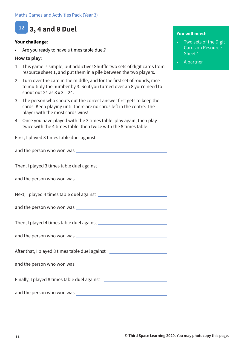

# **Your challenge**:

Are you ready to have a times table duel?

# **How to play**:

- 1. This game is simple, but addictive! Shuffle two sets of digit cards from resource sheet 1, and put them in a pile between the two players.
- 2. Turn over the card in the middle, and for the first set of rounds, race to multiply the number by 3. So if you turned over an 8 you'd need to shout out 24 as  $8 \times 3 = 24$ .
- 3. The person who shouts out the correct answer first gets to keep the cards. Keep playing until there are no cards left in the centre. The player with the most cards wins!
- 4. Once you have played with the 3 times table, play again, then play twice with the 4 times table, then twice with the 8 times table.

First, I played 3 times table duel against

and the person who won was

Then, I played 3 times table duel against

and the person who won was **with all of the person who won was** 

Next, I played 4 times table duel against

and the person who won was

Then, I played 4 times table duel against

and the person who won was

After that, I played 8 times table duel against

and the person who won was

Finally, I played 8 times table duel against

and the person who won was

- Two sets of the Digit Cards on Resource Sheet 1
- A partner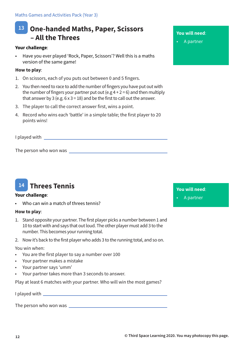Maths Games and Activities Pack (Year 3)

# **13 One-handed Maths, Paper, Scissors – All the Threes**

### **Your challenge**:

• Have you ever played 'Rock, Paper, Scissors'? Well this is a maths version of the same game!

# **How to play**:

- 1. On scissors, each of you puts out between 0 and 5 fingers.
- 2. You then need to race to add the number of fingers you have put out with the number of fingers your partner put out (e.g  $4 + 2 = 6$ ) and then multiply that answer by 3 (e.g.  $6 \times 3 = 18$ ) and be the first to call out the answer.
- 3. The player to call the correct answer first, wins a point.
- 4. Record who wins each 'battle' in a simple table; the first player to 20 points wins!

I played with

The person who won was



### **Your challenge**:

Who can win a match of threes tennis?

# **How to play**:

- 1. Stand opposite your partner. The first player picks a number between 1 and 10 to start with and says that out loud. The other player must add 3 to the number. This becomes your running total.
- 2. Now it's back to the first player who adds 3 to the running total, and so on.

### You win when:

- You are the first player to say a number over 100
- Your partner makes a mistake
- Your partner says 'umm'
- Your partner takes more than 3 seconds to answer.

Play at least 6 matches with your partner. Who will win the most games?

I played with

The person who won was

# **You will need**:

• A partner

**You will need**:

• A partner

**12 © Third Space Learning 2020. You may photocopy this page.**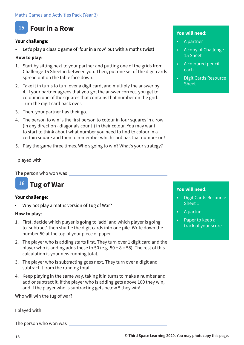# **15 Four in a Row**

# **Your challenge**:

Let's play a classic game of 'four in a row' but with a maths twist!

# **How to play**:

- 1. Start by sitting next to your partner and putting one of the grids from Challenge 15 Sheet in between you. Then, put one set of the digit cards spread out on the table face down.
- 2. Take it in turns to turn over a digit card, and multiply the answer by 4. If your partner agrees that you got the answer correct, you get to colour in one of the squares that contains that number on the grid. Turn the digit card back over.
- 3. Then, your partner has their go.
- 4. The person to win is the first person to colour in four squares in a row (in any direction - diagonals count!) in their colour. You may want to start to think about what number you need to find to colour in a certain square and then to remember which card has that number on!
- 5. Play the game three times. Who's going to win? What's your strategy?

I played with

The person who won was \_\_\_\_\_\_\_\_\_



# **Your challenge**:

• Why not play a maths version of Tug of War?

# **How to play**:

- 1. First, decide which player is going to 'add' and which player is going to 'subtract', then shuffle the digit cards into one pile. Write down the number 50 at the top of your piece of paper.
- 2. The player who is adding starts first. They turn over 1 digit card and the player who is adding adds these to 50 (e.g.  $50 + 8 = 58$ ). The rest of this calculation is your new running total.
- 3. The player who is subtracting goes next. They turn over a digit and subtract it from the running total.
- 4. Keep playing in the same way, taking it in turns to make a number and add or subtract it. If the player who is adding gets above 100 they win, and if the player who is subtracting gets below 5 they win!

Who will win the tug of war?

I played with

The person who won was

# **You will need**:

- A partner
- A copy of Challenge 15 Sheet
- A coloured pencil each
- Digit Cards Resource Sheet

- Digit Cards Resource Sheet 1
- A partner
- Paper to keep a track of your score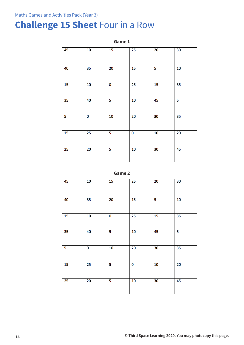# **Challenge 15 Sheet** Four in a Row

| 45                      | 10              | 15 | $\overline{25}$         | 20              | 30              |  |  |  |  |
|-------------------------|-----------------|----|-------------------------|-----------------|-----------------|--|--|--|--|
| 40                      | 35              | 20 | 15                      | 5               | $\overline{10}$ |  |  |  |  |
| 15                      | 10              | 0  | 25                      | 15              | 35              |  |  |  |  |
| 35                      | 40              | 5  | 10                      | 45              | 5               |  |  |  |  |
| $\overline{\mathbf{5}}$ | 0               | 10 | $\overline{20}$         | 30              | $\overline{35}$ |  |  |  |  |
| $\overline{15}$         | 25              | 5  | $\overline{\mathbf{0}}$ | 10              | 20              |  |  |  |  |
| 25                      | $\overline{20}$ | 5  | 10                      | $\overline{30}$ | 45              |  |  |  |  |

**Game 1**



| 45              | 10 | 15                      | 25              | 20              | 30              |
|-----------------|----|-------------------------|-----------------|-----------------|-----------------|
| 40              | 35 | 20                      | 15              | 5               | 10              |
| $\overline{15}$ | 10 | 0                       | $\overline{25}$ | $\overline{15}$ | $\overline{35}$ |
| $\overline{35}$ | 40 | 5                       | 10              | 45              | 5               |
| 5               | 0  | 10                      | $\overline{20}$ | 30              | 35              |
| 15              | 25 | 5                       | $\overline{0}$  | 10              | 20              |
| 25              | 20 | $\overline{\mathbf{5}}$ | 10              | 30              | 45              |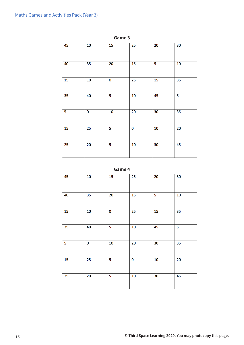|                 |                 | $ -$<br>$\sim$<br>$\overline{\phantom{a}}$ |                 |                         |                 |
|-----------------|-----------------|--------------------------------------------|-----------------|-------------------------|-----------------|
| 45              | 10              | 15                                         | $\overline{25}$ | 20                      | 30              |
| 40              | $\overline{35}$ | $\overline{20}$                            | $\overline{15}$ | $\overline{\mathbf{5}}$ | 10              |
| 15              | 10              | 0                                          | $\overline{25}$ | 15                      | $\overline{35}$ |
| $\overline{35}$ | 40              | 5                                          | 10              | 45                      | 5               |
| 5               | 0               | 10                                         | $\overline{20}$ | 30                      | $\overline{35}$ |
| 15              | $\overline{25}$ | $\overline{\mathbf{5}}$                    | O               | 10                      | 20              |
| $\overline{25}$ | 20              | 5                                          | 10              | 30                      | 45              |

**Game 3**

**Game 4**

| 45                      | 10                      | 15                      | 25                      | 20 | 30 |
|-------------------------|-------------------------|-------------------------|-------------------------|----|----|
| 40                      | 35                      | 20                      | 15                      | 5  | 10 |
| 15                      | 10                      | 0                       | 25                      | 15 | 35 |
| $\overline{35}$         | 40                      | 5                       | 10                      | 45 | 5  |
| $\overline{\mathbf{5}}$ | $\overline{\mathbf{0}}$ | 10                      | $\overline{20}$         | 30 | 35 |
| 15                      | 25                      | 5                       | $\overline{\mathbf{0}}$ | 10 | 20 |
| 25                      | 20                      | $\overline{\mathbf{5}}$ | 10                      | 30 | 45 |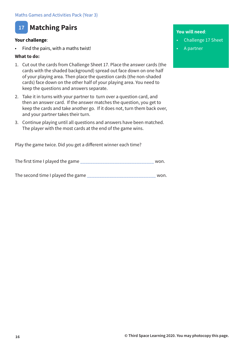# **17 Matching Pairs**

# **Your challenge**:

• Find the pairs, with a maths twist!

# **What to do:**

- 1. Cut out the cards from Challenge Sheet 17. Place the answer cards (the cards with the shaded background) spread out face down on one half of your playing area. Then place the question cards (the non-shaded cards) face down on the other half of your playing area. You need to keep the questions and answers separate.
- 2. Take it in turns with your partner to turn over a question card, and then an answer card. If the answer matches the question, you get to keep the cards and take another go. If it does not, turn them back over, and your partner takes their turn.
- 3. Continue playing until all questions and answers have been matched. The player with the most cards at the end of the game wins.

Play the game twice. Did you get a different winner each time?

The first time I played the game \_\_\_\_\_\_\_\_\_\_\_\_\_\_\_\_\_\_\_\_\_\_\_\_\_\_\_\_\_\_ won.

The second time I played the game \_\_\_\_\_\_\_\_\_\_\_\_\_\_\_\_\_\_\_\_\_\_\_\_\_\_\_\_ won.

- Challenge 17 Sheet
- A partner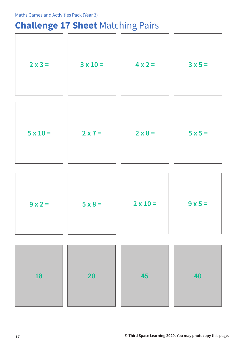# **Challenge 17 Sheet** Matching Pairs

|                 |                 | $\overline{\phantom{a}}$ |                |
|-----------------|-----------------|--------------------------|----------------|
| $2x3=$          | $3 \times 10 =$ | $4x2=$                   | $3x5=$         |
| $5 \times 10 =$ | $2 \times 7 =$  | $2 \times 8 =$           | $5 \times 5 =$ |
|                 |                 |                          |                |
| $9x2=$          | $5 \times 8 =$  | $2 \times 10 =$          | $9x5=$         |
|                 |                 |                          |                |
| 18              | <b>20</b>       | 45                       | 40             |
|                 |                 |                          |                |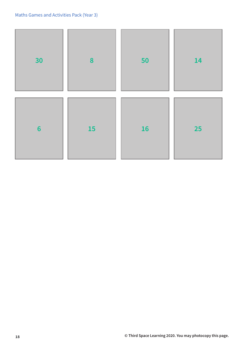| 30              | $\boldsymbol{8}$ | 50        | <b>14</b> |
|-----------------|------------------|-----------|-----------|
| $6\phantom{1}6$ | <b>15</b>        | <b>16</b> | <b>25</b> |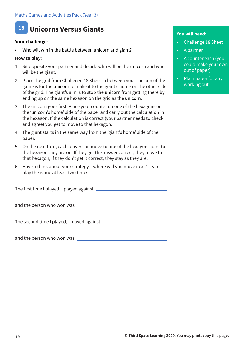# **18 Unicorns Versus Giants**

# **Your challenge**:

Who will win in the battle between unicorn and giant?

# **How to play**:

- 1. Sit opposite your partner and decide who will be the unicorn and who will be the giant.
- 2. Place the grid from Challenge 18 Sheet in between you. The aim of the game is for the unicorn to make it to the giant's home on the other side of the grid. The giant's aim is to stop the unicorn from getting there by ending up on the same hexagon on the grid as the unicorn.
- 3. The unicorn goes first. Place your counter on one of the hexagons on the 'unicorn's home' side of the paper and carry out the calculation in the hexagon. If the calculation is correct (your partner needs to check and agree) you get to move to that hexagon.
- 4. The giant starts in the same way from the 'giant's home' side of the paper.
- 5. On the next turn, each player can move to one of the hexagons joint to the hexagon they are on. If they get the answer correct, they move to that hexagon; if they don't get it correct, they stay as they are!
- 6. Have a think about your strategy where will you move next? Try to play the game at least two times.

The first time I played, I played against

and the person who won was

The second time I played, I played against

and the person who won was

- Challenge 18 Sheet
- A partner
- A counter each (you could make your own out of paper)
- Plain paper for any working out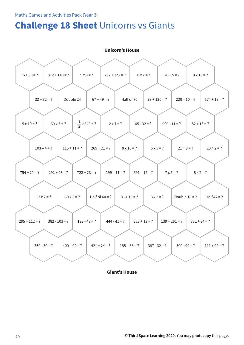# **Challenge 18 Sheet** Unicorns vs Giants

|                   | <b>PRODUCED SHOUSE</b> |                         |                  |                   |                  |                   |                 |  |  |  |
|-------------------|------------------------|-------------------------|------------------|-------------------|------------------|-------------------|-----------------|--|--|--|
|                   |                        |                         |                  |                   |                  |                   |                 |  |  |  |
| $16 + 30 = ?$     | $812 + 110 = ?$        | $5x5=?$                 | $202 + 372 = ?$  | $8x2 = ?$         | $20 \div 5 = ?$  | $9 \times 10 = ?$ |                 |  |  |  |
|                   |                        |                         |                  |                   |                  |                   |                 |  |  |  |
|                   | $32 + 32 = ?$          | Double 24               | $67 + 49 = ?$    | Half of 70        | $73 + 120 = ?$   | $220 - 10 = ?$    | $674 + 19 = ?$  |  |  |  |
|                   |                        |                         |                  |                   |                  |                   |                 |  |  |  |
| $5 \times 10 = ?$ | $60 \div 5 = ?$        | $\frac{1}{2}$ of 40 = ? | $2 x 7 = ?$      | $65 - 32 = ?$     | $900 - 11 = ?$   | $82 + 13 = ?$     |                 |  |  |  |
|                   |                        |                         |                  |                   |                  |                   |                 |  |  |  |
|                   | $103 - 4 = ?$          | $115 + 11 = ?$          | $265 + 21 = ?$   | $8 \times 10 = ?$ | $6x5 = ?$        | $21 \div 3 = ?$   | $20 \div 2 = ?$ |  |  |  |
|                   |                        |                         |                  |                   |                  |                   |                 |  |  |  |
| $754 + 21 = ?$    | $292 + 43 = ?$         | $723 + 23 = ?$          | $199 - 11 = ?$   | $591 - 12 = ?$    | $7 \times 5 = ?$ | $8x2=?$           |                 |  |  |  |
|                   |                        |                         |                  |                   |                  |                   |                 |  |  |  |
|                   | $12 \times 2 = ?$      | $50 \div 5 = ?$         | Half of $60 = ?$ | $81 + 19 = ?$     | $6x2 = ?$        | Double $18 = ?$   | Half $42 = ?$   |  |  |  |
|                   |                        |                         |                  |                   |                  |                   |                 |  |  |  |
| $295 + 112 = ?$   | $382 - 103 = ?$        | $193 - 48 = ?$          | $444 - 41 = ?$   | $223 + 12 = ?$    | $139 + 261 = ?$  | $732 + 34 = ?$    |                 |  |  |  |
|                   |                        |                         |                  |                   |                  |                   |                 |  |  |  |
| $350 - 30 = ?$    |                        | $400 - 92 = ?$          | $421 + 24 = ?$   | $185 - 38 = ?$    | $387 - 32 = ?$   | $500 - 99 = ?$    | $111 + 99 = ?$  |  |  |  |
|                   |                        |                         |                  |                   |                  |                   |                 |  |  |  |

**Unicorn's House**

**Giant's House**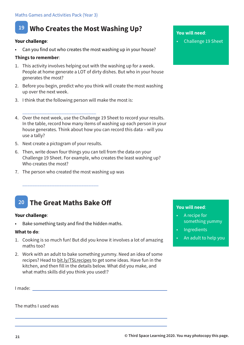# **19 Who Creates the Most Washing Up?**

# **Your challenge**:

Can you find out who creates the most washing up in your house?

# **Things to remember**:

- 1. This activity involves helping out with the washing up for a week. People at home generate a LOT of dirty dishes. But who in your house generates the most?
- 2. Before you begin, predict who you think will create the most washing up over the next week.
- 3. I think that the following person will make the most is:
- 4. Over the next week, use the Challenge 19 Sheet to record your results. In the table, record how many items of washing up each person in your house generates. Think about how you can record this data – will you use a tally?
- 5. Next create a pictogram of your results.

\_\_\_\_\_\_\_\_\_\_\_\_\_\_\_\_\_\_\_\_\_\_\_\_\_\_\_\_\_\_

- 6. Then, write down four things you can tell from the data on your Challenge 19 Sheet. For example, who creates the least washing up? Who creates the most?
- 7. The person who created the most washing up was

# **20 The Great Maths Bake Off**

\_\_\_\_\_\_\_\_\_\_\_\_\_\_\_\_\_\_\_\_\_\_\_\_\_\_\_\_\_\_\_

# **Your challenge**:

Bake something tasty and find the hidden maths.

# **What to do**:

- 1. Cooking is so much fun! But did you know it involves a lot of amazing maths too?
- 2. Work with an adult to bake something yummy. Need an idea of some recipes? Head to bit.ly/TSLrecipes to get some ideas. Have fun in the kitchen, and then fill in the details below. What did you make, and what maths skills did you think you used!?

I made:

The maths I used was

# **You will need**:

• Challenge 19 Sheet

- A recipe for something yummy
- **Ingredients**
- An adult to help you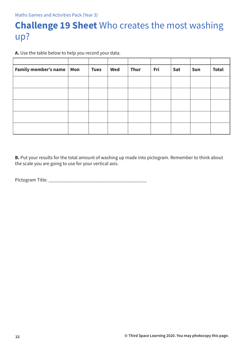# **Challenge 19 Sheet** Who creates the most washing up?

**A.** Use the table below to help you record your data.

| Family member's name   Mon | <b>Tues</b> | Wed | <b>Thur</b> | Fri | Sat | Sun | <b>Total</b> |
|----------------------------|-------------|-----|-------------|-----|-----|-----|--------------|
|                            |             |     |             |     |     |     |              |
|                            |             |     |             |     |     |     |              |
|                            |             |     |             |     |     |     |              |
|                            |             |     |             |     |     |     |              |
|                            |             |     |             |     |     |     |              |

**B.** Put your results for the total amount of washing up made into pictogram. Remember to think about the scale you are going to use for your vertical axis.

Pictogram Title: \_\_\_\_\_\_\_\_\_\_\_\_\_\_\_\_\_\_\_\_\_\_\_\_\_\_\_\_\_\_\_\_\_\_\_\_\_\_\_\_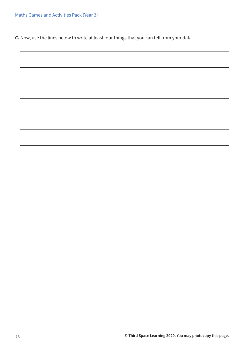Maths Games and Activities Pack (Year 3)

**C.** Now, use the lines below to write at least four things that you can tell from your data.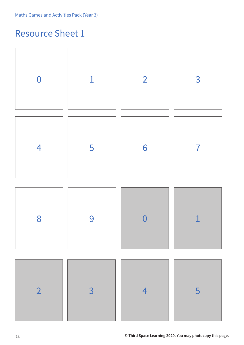# Resource Sheet 1